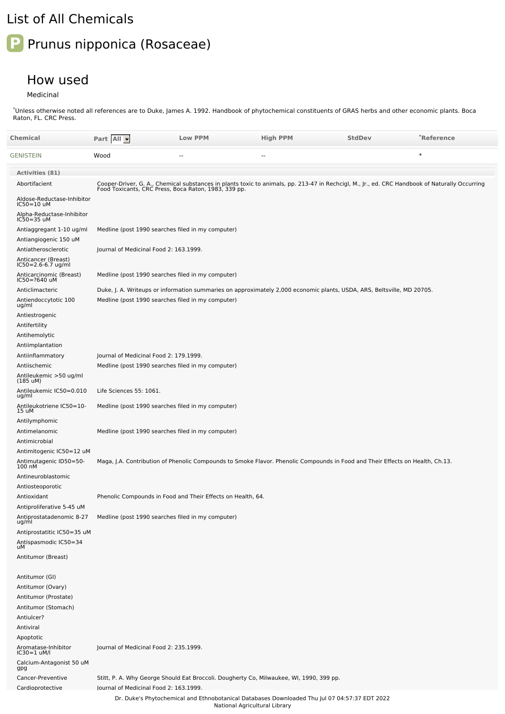## List of All Chemicals

## **P** Prunus nipponica (Rosaceae)

## How used

Medicinal

Unless otherwise noted all references are to Duke, James A. 1992. Handbook of phytochemical constituents of GRAS herbs and other economic plants. Boca Raton, FL. CRC Press. \*

| Chemical                                              | Part All                                                                                                               | <b>Low PPM</b>                                              | <b>High PPM</b>                                                                                                                                                                                        | <b>StdDev</b> | *Reference |
|-------------------------------------------------------|------------------------------------------------------------------------------------------------------------------------|-------------------------------------------------------------|--------------------------------------------------------------------------------------------------------------------------------------------------------------------------------------------------------|---------------|------------|
|                                                       |                                                                                                                        |                                                             |                                                                                                                                                                                                        |               |            |
| GENISTEIN                                             | Wood                                                                                                                   | --                                                          | $-$                                                                                                                                                                                                    |               | $\ast$     |
| <b>Activities (81)</b>                                |                                                                                                                        |                                                             |                                                                                                                                                                                                        |               |            |
| Abortifacient                                         |                                                                                                                        |                                                             | Cooper-Driver, G. A., Chemical substances in plants toxic to animals, pp. 213-47 in Rechcigl, M., Jr., ed. CRC Handbook of Naturally Occurring<br>Food Toxicants, CRC Press, Boca Raton, 1983, 339 pp. |               |            |
| Aldose-Reductase-Inhibitor<br>IC50=10 uM              |                                                                                                                        |                                                             |                                                                                                                                                                                                        |               |            |
| Alpha-Reductase-Inhibitor<br>IC50=35 uM               |                                                                                                                        |                                                             |                                                                                                                                                                                                        |               |            |
| Antiaggregant 1-10 ug/ml                              | Medline (post 1990 searches filed in my computer)                                                                      |                                                             |                                                                                                                                                                                                        |               |            |
| Antiangiogenic 150 uM                                 |                                                                                                                        |                                                             |                                                                                                                                                                                                        |               |            |
| Antiatherosclerotic                                   | Journal of Medicinal Food 2: 163.1999.                                                                                 |                                                             |                                                                                                                                                                                                        |               |            |
| Anticancer (Breast)<br>IC50=2.6-6.7 ug/ml             |                                                                                                                        |                                                             |                                                                                                                                                                                                        |               |            |
| Anticarcinomic (Breast)<br>IC50=?640 uM               | Medline (post 1990 searches filed in my computer)                                                                      |                                                             |                                                                                                                                                                                                        |               |            |
| Anticlimacteric                                       | Duke, J. A. Writeups or information summaries on approximately 2,000 economic plants, USDA, ARS, Beltsville, MD 20705. |                                                             |                                                                                                                                                                                                        |               |            |
| Antiendoccytotic 100<br>ug/ml                         | Medline (post 1990 searches filed in my computer)                                                                      |                                                             |                                                                                                                                                                                                        |               |            |
| Antiestrogenic                                        |                                                                                                                        |                                                             |                                                                                                                                                                                                        |               |            |
| Antifertility                                         |                                                                                                                        |                                                             |                                                                                                                                                                                                        |               |            |
| Antihemolytic<br>Antiimplantation                     |                                                                                                                        |                                                             |                                                                                                                                                                                                        |               |            |
| Antiinflammatory                                      | Journal of Medicinal Food 2: 179.1999.                                                                                 |                                                             |                                                                                                                                                                                                        |               |            |
| Antiischemic                                          | Medline (post 1990 searches filed in my computer)                                                                      |                                                             |                                                                                                                                                                                                        |               |            |
| Antileukemic >50 ug/ml<br>(185 uM)                    |                                                                                                                        |                                                             |                                                                                                                                                                                                        |               |            |
| Antileukemic IC50=0.010<br>ug/ml                      | Life Sciences 55: 1061.                                                                                                |                                                             |                                                                                                                                                                                                        |               |            |
| Antileukotriene IC50=10-<br>15 uM                     | Medline (post 1990 searches filed in my computer)                                                                      |                                                             |                                                                                                                                                                                                        |               |            |
| Antilymphomic                                         |                                                                                                                        |                                                             |                                                                                                                                                                                                        |               |            |
| Antimelanomic                                         | Medline (post 1990 searches filed in my computer)                                                                      |                                                             |                                                                                                                                                                                                        |               |            |
| Antimicrobial<br>Antimitogenic IC50=12 uM             |                                                                                                                        |                                                             |                                                                                                                                                                                                        |               |            |
| Antimutagenic ID50=50-<br>100 nM                      |                                                                                                                        |                                                             | Maga, J.A. Contribution of Phenolic Compounds to Smoke Flavor. Phenolic Compounds in Food and Their Effects on Health, Ch.13.                                                                          |               |            |
| Antineuroblastomic                                    |                                                                                                                        |                                                             |                                                                                                                                                                                                        |               |            |
| Antiosteoporotic                                      |                                                                                                                        |                                                             |                                                                                                                                                                                                        |               |            |
| Antioxidant                                           |                                                                                                                        | Phenolic Compounds in Food and Their Effects on Health, 64. |                                                                                                                                                                                                        |               |            |
| Antiproliferative 5-45 uM<br>Antiprostatadenomic 8-27 | Medline (post 1990 searches filed in my computer)                                                                      |                                                             |                                                                                                                                                                                                        |               |            |
| ug/ml                                                 |                                                                                                                        |                                                             |                                                                                                                                                                                                        |               |            |
| Antiprostatitic IC50=35 uM                            |                                                                                                                        |                                                             |                                                                                                                                                                                                        |               |            |
| Antispasmodic IC50=34<br>uM                           |                                                                                                                        |                                                             |                                                                                                                                                                                                        |               |            |
| Antitumor (Breast)                                    |                                                                                                                        |                                                             |                                                                                                                                                                                                        |               |            |
| Antitumor (GI)                                        |                                                                                                                        |                                                             |                                                                                                                                                                                                        |               |            |
| Antitumor (Ovary)                                     |                                                                                                                        |                                                             |                                                                                                                                                                                                        |               |            |
| Antitumor (Prostate)<br>Antitumor (Stomach)           |                                                                                                                        |                                                             |                                                                                                                                                                                                        |               |            |
| Antiulcer?                                            |                                                                                                                        |                                                             |                                                                                                                                                                                                        |               |            |
| Antiviral                                             |                                                                                                                        |                                                             |                                                                                                                                                                                                        |               |            |
| Apoptotic                                             |                                                                                                                        |                                                             |                                                                                                                                                                                                        |               |            |
| Aromatase-Inhibitor<br>IC30=1 uM/l                    | Journal of Medicinal Food 2: 235.1999.                                                                                 |                                                             |                                                                                                                                                                                                        |               |            |
| Calcium-Antagonist 50 uM<br>gpg                       |                                                                                                                        |                                                             |                                                                                                                                                                                                        |               |            |
| Cancer-Preventive<br>Cardioprotective                 | lournal of Medicinal Food 2: 163.1999.                                                                                 |                                                             | Stitt, P. A. Why George Should Eat Broccoli. Dougherty Co, Milwaukee, WI, 1990, 399 pp.                                                                                                                |               |            |
|                                                       |                                                                                                                        |                                                             | Dr. Duke's Phytochemical and Ethnobotanical Databases Downloaded Thu Jul 07 04:57:37 EDT 2022                                                                                                          |               |            |
|                                                       |                                                                                                                        | National Agricultural Library                               |                                                                                                                                                                                                        |               |            |